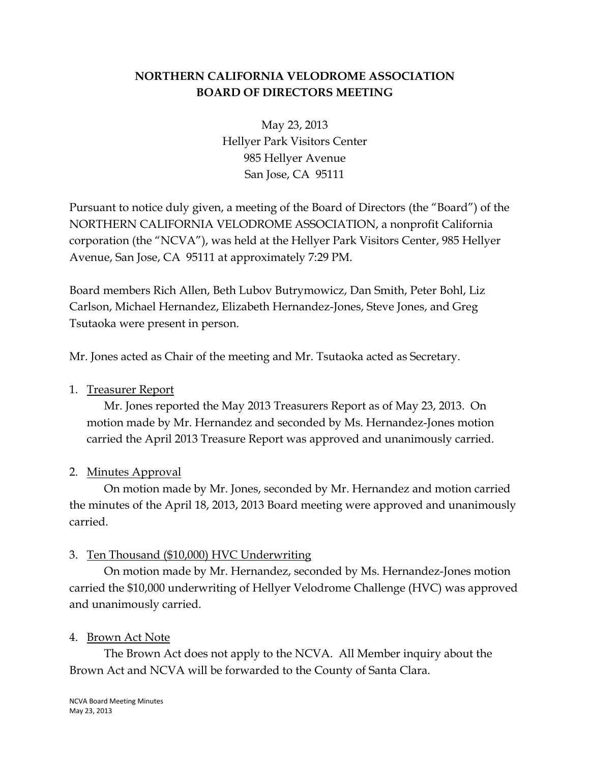# **NORTHERN CALIFORNIA VELODROME ASSOCIATION BOARD OF DIRECTORS MEETING**

May 23, 2013 Hellyer Park Visitors Center 985 Hellyer Avenue San Jose, CA 95111

Pursuant to notice duly given, a meeting of the Board of Directors (the "Board") of the NORTHERN CALIFORNIA VELODROME ASSOCIATION, a nonprofit California corporation (the "NCVA"), was held at the Hellyer Park Visitors Center, 985 Hellyer Avenue, San Jose, CA 95111 at approximately 7:29 PM.

Board members Rich Allen, Beth Lubov Butrymowicz, Dan Smith, Peter Bohl, Liz Carlson, Michael Hernandez, Elizabeth Hernandez-Jones, Steve Jones, and Greg Tsutaoka were present in person.

Mr. Jones acted as Chair of the meeting and Mr. Tsutaoka acted as Secretary.

#### 1. Treasurer Report

Mr. Jones reported the May 2013 Treasurers Report as of May 23, 2013. On motion made by Mr. Hernandez and seconded by Ms. Hernandez-Jones motion carried the April 2013 Treasure Report was approved and unanimously carried.

# 2. Minutes Approval

On motion made by Mr. Jones, seconded by Mr. Hernandez and motion carried the minutes of the April 18, 2013, 2013 Board meeting were approved and unanimously carried.

#### 3. Ten Thousand (\$10,000) HVC Underwriting

On motion made by Mr. Hernandez, seconded by Ms. Hernandez-Jones motion carried the \$10,000 underwriting of Hellyer Velodrome Challenge (HVC) was approved and unanimously carried.

#### 4. Brown Act Note

The Brown Act does not apply to the NCVA. All Member inquiry about the Brown Act and NCVA will be forwarded to the County of Santa Clara.